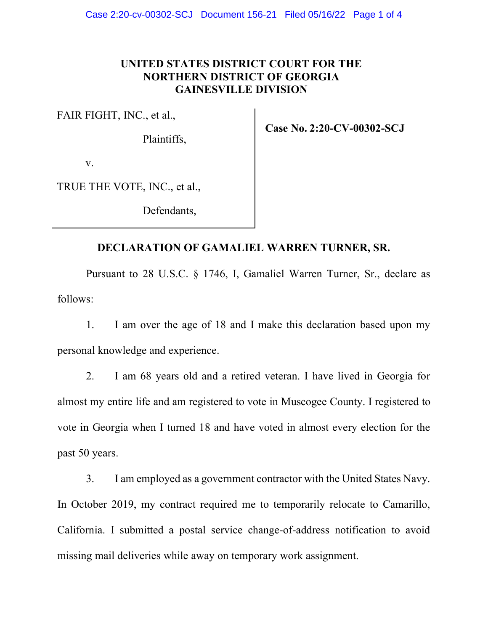## **UNITED STATES DISTRICT COURT FOR THE NORTHERN DISTRICT OF GEORGIA GAINESVILLE DIVISION**

FAIR FIGHT, INC., et al., 

Plaintiffs, 

**Case No. 2:20-CV-00302-SCJ**

v. 

TRUE THE VOTE, INC., et al., 

Defendants, 

## **DECLARATION OF GAMALIEL WARREN TURNER, SR.**

Pursuant to 28 U.S.C. § 1746, I, Gamaliel Warren Turner, Sr., declare as follows:

1. I am over the age of 18 and I make this declaration based upon my personal knowledge and experience.

2. I am 68 years old and a retired veteran. I have lived in Georgia for almost my entire life and am registered to vote in Muscogee County. I registered to vote in Georgia when I turned 18 and have voted in almost every election for the past 50 years.

3. I am employed as a government contractor with the United States Navy. In October 2019, my contract required me to temporarily relocate to Camarillo, California. I submitted a postal service change-of-address notification to avoid missing mail deliveries while away on temporary work assignment.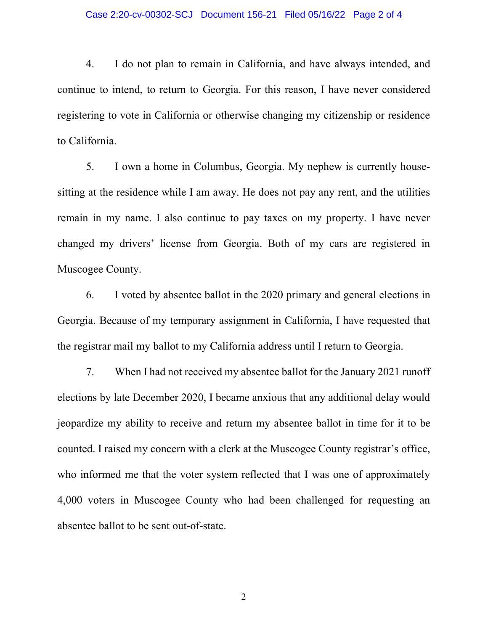## Case 2:20-cv-00302-SCJ Document 156-21 Filed 05/16/22 Page 2 of 4

4. I do not plan to remain in California, and have always intended, and continue to intend, to return to Georgia. For this reason, I have never considered registering to vote in California or otherwise changing my citizenship or residence to California.

5. I own a home in Columbus, Georgia. My nephew is currently housesitting at the residence while I am away. He does not pay any rent, and the utilities remain in my name. I also continue to pay taxes on my property. I have never changed my drivers' license from Georgia. Both of my cars are registered in Muscogee County.

6. I voted by absentee ballot in the 2020 primary and general elections in Georgia. Because of my temporary assignment in California, I have requested that the registrar mail my ballot to my California address until I return to Georgia.

7. When I had not received my absentee ballot for the January 2021 runoff elections by late December 2020, I became anxious that any additional delay would jeopardize my ability to receive and return my absentee ballot in time for it to be counted. I raised my concern with a clerk at the Muscogee County registrar's office, who informed me that the voter system reflected that I was one of approximately 4,000 voters in Muscogee County who had been challenged for requesting an absentee ballot to be sent out-of-state.

2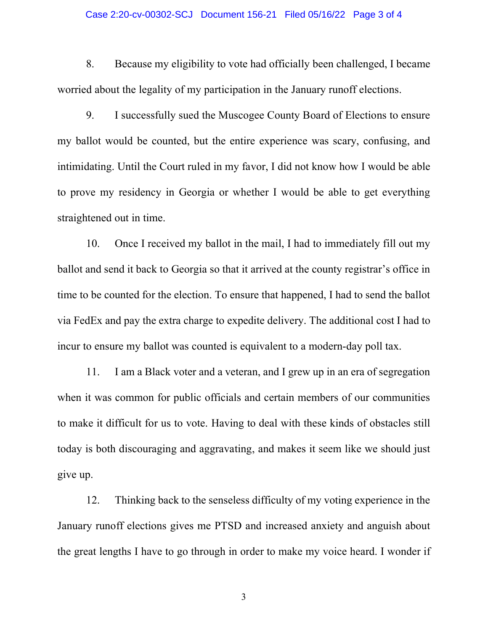## Case 2:20-cv-00302-SCJ Document 156-21 Filed 05/16/22 Page 3 of 4

8. Because my eligibility to vote had officially been challenged, I became worried about the legality of my participation in the January runoff elections.

9. I successfully sued the Muscogee County Board of Elections to ensure my ballot would be counted, but the entire experience was scary, confusing, and intimidating. Until the Court ruled in my favor, I did not know how I would be able to prove my residency in Georgia or whether I would be able to get everything straightened out in time.

10. Once I received my ballot in the mail, I had to immediately fill out my ballot and send it back to Georgia so that it arrived at the county registrar's office in time to be counted for the election. To ensure that happened, I had to send the ballot via FedEx and pay the extra charge to expedite delivery. The additional cost I had to incur to ensure my ballot was counted is equivalent to a modern-day poll tax.

11. I am a Black voter and a veteran, and I grew up in an era of segregation when it was common for public officials and certain members of our communities to make it difficult for us to vote. Having to deal with these kinds of obstacles still today is both discouraging and aggravating, and makes it seem like we should just give up.

12. Thinking back to the senseless difficulty of my voting experience in the January runoff elections gives me PTSD and increased anxiety and anguish about the great lengths I have to go through in order to make my voice heard. I wonder if

3